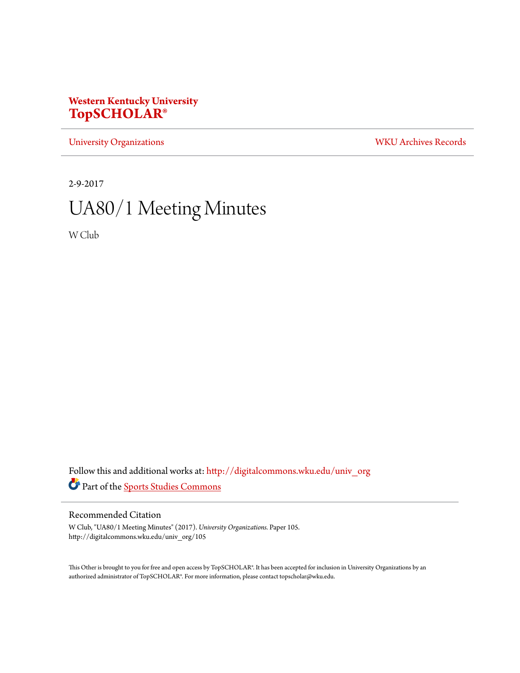## **Western Kentucky University [TopSCHOLAR®](http://digitalcommons.wku.edu?utm_source=digitalcommons.wku.edu%2Funiv_org%2F105&utm_medium=PDF&utm_campaign=PDFCoverPages)**

[University Organizations](http://digitalcommons.wku.edu/univ_org?utm_source=digitalcommons.wku.edu%2Funiv_org%2F105&utm_medium=PDF&utm_campaign=PDFCoverPages) [WKU Archives Records](http://digitalcommons.wku.edu/dlsc_ua_records?utm_source=digitalcommons.wku.edu%2Funiv_org%2F105&utm_medium=PDF&utm_campaign=PDFCoverPages)

2-9-2017

# UA80/1 Meeting Minutes

W Club

Follow this and additional works at: [http://digitalcommons.wku.edu/univ\\_org](http://digitalcommons.wku.edu/univ_org?utm_source=digitalcommons.wku.edu%2Funiv_org%2F105&utm_medium=PDF&utm_campaign=PDFCoverPages) Part of the [Sports Studies Commons](http://network.bepress.com/hgg/discipline/1198?utm_source=digitalcommons.wku.edu%2Funiv_org%2F105&utm_medium=PDF&utm_campaign=PDFCoverPages)

#### Recommended Citation

W Club, "UA80/1 Meeting Minutes" (2017). *University Organizations.* Paper 105. http://digitalcommons.wku.edu/univ\_org/105

This Other is brought to you for free and open access by TopSCHOLAR®. It has been accepted for inclusion in University Organizations by an authorized administrator of TopSCHOLAR®. For more information, please contact topscholar@wku.edu.